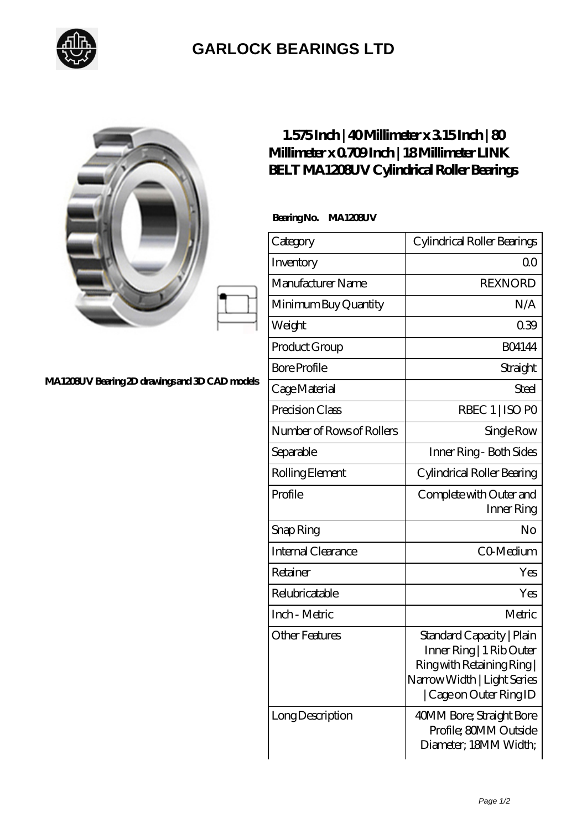

## **[GARLOCK BEARINGS LTD](https://m.letterstopriests.com)**

|                                                | $1.575$ Inch   40Millimeter x 315Inch   80<br>Millimeter x 0709Inch   18Millimeter LINK<br><b>BELT MA1208UV Cylindrical Roller Bearings</b> |                                                                                                                                             |
|------------------------------------------------|---------------------------------------------------------------------------------------------------------------------------------------------|---------------------------------------------------------------------------------------------------------------------------------------------|
|                                                | BearingNo.<br>MA1208UV                                                                                                                      |                                                                                                                                             |
|                                                | Category                                                                                                                                    | Cylindrical Roller Bearings                                                                                                                 |
|                                                | Inventory                                                                                                                                   | Q <sub>O</sub>                                                                                                                              |
|                                                | Manufacturer Name                                                                                                                           | <b>REXNORD</b>                                                                                                                              |
|                                                | Minimum Buy Quantity                                                                                                                        | N/A                                                                                                                                         |
|                                                | Weight                                                                                                                                      | 039                                                                                                                                         |
|                                                | Product Group                                                                                                                               | <b>BO4144</b>                                                                                                                               |
|                                                | <b>Bore Profile</b>                                                                                                                         | Straight                                                                                                                                    |
| MA1208UV Bearing 2D drawings and 3D CAD models | Cage Material                                                                                                                               | Steel                                                                                                                                       |
|                                                | Precision Class                                                                                                                             | RBEC 1   ISO PO                                                                                                                             |
|                                                | Number of Rows of Rollers                                                                                                                   | Single Row                                                                                                                                  |
|                                                | Separable                                                                                                                                   | Inner Ring - Both Sides                                                                                                                     |
|                                                | Rolling Element                                                                                                                             | Cylindrical Roller Bearing                                                                                                                  |
|                                                | Profile                                                                                                                                     | Complete with Outer and<br>Inner Ring                                                                                                       |
|                                                | Snap Ring                                                                                                                                   | No                                                                                                                                          |
|                                                | Internal Clearance                                                                                                                          | CO-Medium                                                                                                                                   |
|                                                | Retainer                                                                                                                                    | Yes                                                                                                                                         |
|                                                | Relubricatable                                                                                                                              | Yes                                                                                                                                         |
|                                                | Inch - Metric                                                                                                                               | Metric                                                                                                                                      |
|                                                | <b>Other Features</b>                                                                                                                       | Standard Capacity   Plain<br>Inner Ring   1 Rib Outer<br>Ring with Retaining Ring<br>Narrow Width   Light Series<br>  Cage on Outer Ring ID |
|                                                | Long Description                                                                                                                            | 40MM Bore; Straight Bore<br>Profile; 80MM Outside<br>Diameter; 18MM Width;                                                                  |